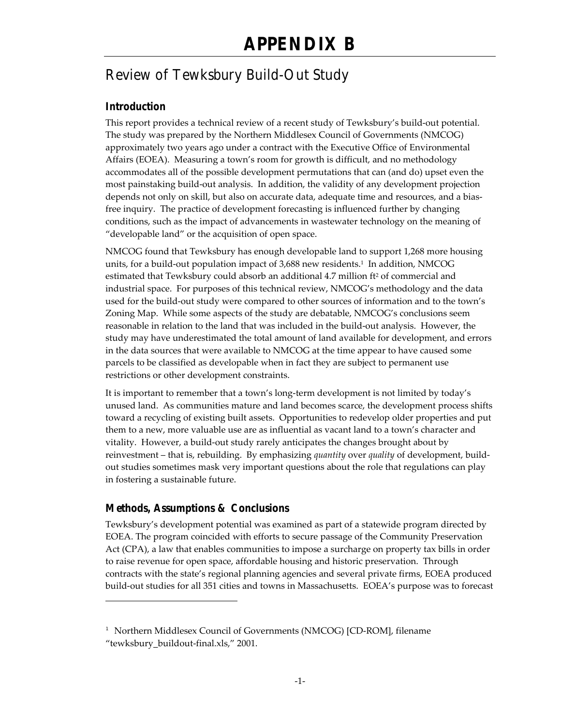# Review of Tewksbury Build-Out Study

# **Introduction**

This report provides a technical review of a recent study of Tewksbury's build-out potential. The study was prepared by the Northern Middlesex Council of Governments (NMCOG) approximately two years ago under a contract with the Executive Office of Environmental Affairs (EOEA). Measuring a town's room for growth is difficult, and no methodology accommodates all of the possible development permutations that can (and do) upset even the most painstaking build-out analysis. In addition, the validity of any development projection depends not only on skill, but also on accurate data, adequate time and resources, and a biasfree inquiry. The practice of development forecasting is influenced further by changing conditions, such as the impact of advancements in wastewater technology on the meaning of "developable land" or the acquisition of open space.

NMCOG found that Tewksbury has enough developable land to support 1,268 more housing units, for a build-out population impact of 3,688 new residents.<sup>1</sup> In addition, NMCOG estimated that Tewksbury could absorb an additional  $4.7$  million  $ft<sup>2</sup>$  of commercial and industrial space. For purposes of this technical review, NMCOG's methodology and the data used for the build-out study were compared to other sources of information and to the town's Zoning Map. While some aspects of the study are debatable, NMCOG's conclusions seem reasonable in relation to the land that was included in the build-out analysis. However, the study may have underestimated the total amount of land available for development, and errors in the data sources that were available to NMCOG at the time appear to have caused some parcels to be classified as developable when in fact they are subject to permanent use restrictions or other development constraints.

It is important to remember that a town's long-term development is not limited by today's unused land. As communities mature and land becomes scarce, the development process shifts toward a recycling of existing built assets. Opportunities to redevelop older properties and put them to a new, more valuable use are as influential as vacant land to a town's character and vitality. However, a build-out study rarely anticipates the changes brought about by reinvestment – that is, rebuilding. By emphasizing *quantity* over *quality* of development, buildout studies sometimes mask very important questions about the role that regulations can play in fostering a sustainable future.

# **Methods, Assumptions & Conclusions**

 $\overline{a}$ 

Tewksbury's development potential was examined as part of a statewide program directed by EOEA. The program coincided with efforts to secure passage of the Community Preservation Act (CPA), a law that enables communities to impose a surcharge on property tax bills in order to raise revenue for open space, affordable housing and historic preservation. Through contracts with the state's regional planning agencies and several private firms, EOEA produced build-out studies for all 351 cities and towns in Massachusetts. EOEA's purpose was to forecast

<sup>&</sup>lt;sup>1</sup> Northern Middlesex Council of Governments (NMCOG) [CD-ROM], filename "tewksbury\_buildout-final.xls," 2001.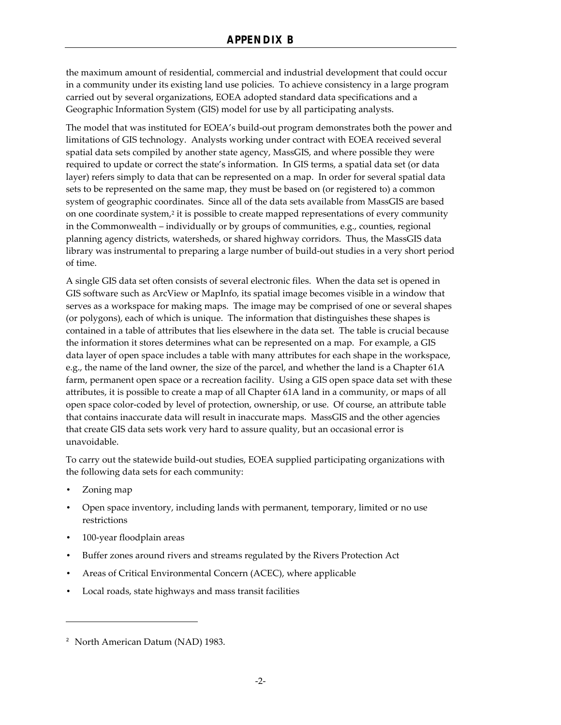the maximum amount of residential, commercial and industrial development that could occur in a community under its existing land use policies. To achieve consistency in a large program carried out by several organizations, EOEA adopted standard data specifications and a Geographic Information System (GIS) model for use by all participating analysts.

The model that was instituted for EOEA's build-out program demonstrates both the power and limitations of GIS technology. Analysts working under contract with EOEA received several spatial data sets compiled by another state agency, MassGIS, and where possible they were required to update or correct the state's information. In GIS terms, a spatial data set (or data layer) refers simply to data that can be represented on a map. In order for several spatial data sets to be represented on the same map, they must be based on (or registered to) a common system of geographic coordinates. Since all of the data sets available from MassGIS are based on one coordinate system,<sup>2</sup> it is possible to create mapped representations of every community in the Commonwealth – individually or by groups of communities, e.g., counties, regional planning agency districts, watersheds, or shared highway corridors. Thus, the MassGIS data library was instrumental to preparing a large number of build-out studies in a very short period of time.

A single GIS data set often consists of several electronic files. When the data set is opened in GIS software such as ArcView or MapInfo, its spatial image becomes visible in a window that serves as a workspace for making maps. The image may be comprised of one or several shapes (or polygons), each of which is unique. The information that distinguishes these shapes is contained in a table of attributes that lies elsewhere in the data set. The table is crucial because the information it stores determines what can be represented on a map. For example, a GIS data layer of open space includes a table with many attributes for each shape in the workspace, e.g., the name of the land owner, the size of the parcel, and whether the land is a Chapter 61A farm, permanent open space or a recreation facility. Using a GIS open space data set with these attributes, it is possible to create a map of all Chapter 61A land in a community, or maps of all open space color-coded by level of protection, ownership, or use. Of course, an attribute table that contains inaccurate data will result in inaccurate maps. MassGIS and the other agencies that create GIS data sets work very hard to assure quality, but an occasional error is unavoidable.

To carry out the statewide build-out studies, EOEA supplied participating organizations with the following data sets for each community:

• Zoning map

-

- Open space inventory, including lands with permanent, temporary, limited or no use restrictions
- 100-year floodplain areas
- Buffer zones around rivers and streams regulated by the Rivers Protection Act
- Areas of Critical Environmental Concern (ACEC), where applicable
- Local roads, state highways and mass transit facilities

<sup>&</sup>lt;sup>2</sup> North American Datum (NAD) 1983.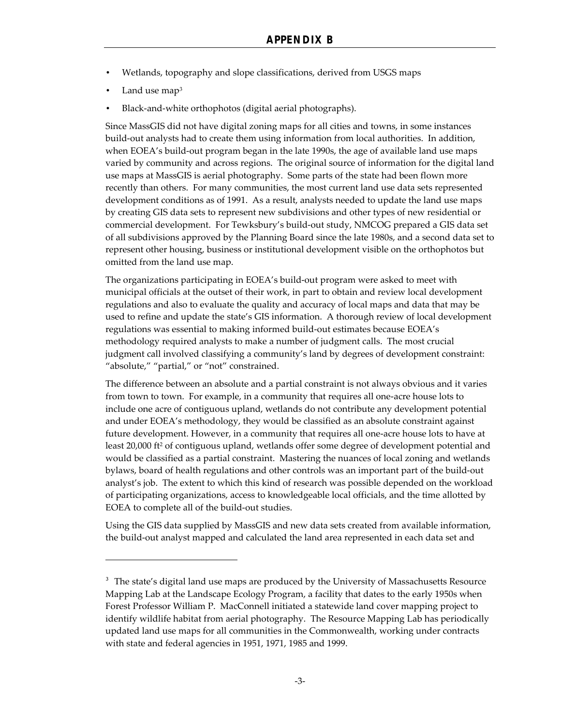- Wetlands, topography and slope classifications, derived from USGS maps
- Land use map<sup>3</sup>

 $\overline{\phantom{a}}$ 

• Black-and-white orthophotos (digital aerial photographs).

Since MassGIS did not have digital zoning maps for all cities and towns, in some instances build-out analysts had to create them using information from local authorities. In addition, when EOEA's build-out program began in the late 1990s, the age of available land use maps varied by community and across regions. The original source of information for the digital land use maps at MassGIS is aerial photography. Some parts of the state had been flown more recently than others. For many communities, the most current land use data sets represented development conditions as of 1991. As a result, analysts needed to update the land use maps by creating GIS data sets to represent new subdivisions and other types of new residential or commercial development. For Tewksbury's build-out study, NMCOG prepared a GIS data set of all subdivisions approved by the Planning Board since the late 1980s, and a second data set to represent other housing, business or institutional development visible on the orthophotos but omitted from the land use map.

The organizations participating in EOEA's build-out program were asked to meet with municipal officials at the outset of their work, in part to obtain and review local development regulations and also to evaluate the quality and accuracy of local maps and data that may be used to refine and update the state's GIS information. A thorough review of local development regulations was essential to making informed build-out estimates because EOEA's methodology required analysts to make a number of judgment calls. The most crucial judgment call involved classifying a community's land by degrees of development constraint: "absolute," "partial," or "not" constrained.

The difference between an absolute and a partial constraint is not always obvious and it varies from town to town. For example, in a community that requires all one-acre house lots to include one acre of contiguous upland, wetlands do not contribute any development potential and under EOEA's methodology, they would be classified as an absolute constraint against future development. However, in a community that requires all one-acre house lots to have at least 20,000 ft<sup>2</sup> of contiguous upland, wetlands offer some degree of development potential and would be classified as a partial constraint. Mastering the nuances of local zoning and wetlands bylaws, board of health regulations and other controls was an important part of the build-out analyst's job. The extent to which this kind of research was possible depended on the workload of participating organizations, access to knowledgeable local officials, and the time allotted by EOEA to complete all of the build-out studies.

Using the GIS data supplied by MassGIS and new data sets created from available information, the build-out analyst mapped and calculated the land area represented in each data set and

<sup>&</sup>lt;sup>3</sup> The state's digital land use maps are produced by the University of Massachusetts Resource Mapping Lab at the Landscape Ecology Program, a facility that dates to the early 1950s when Forest Professor William P. MacConnell initiated a statewide land cover mapping project to identify wildlife habitat from aerial photography. The Resource Mapping Lab has periodically updated land use maps for all communities in the Commonwealth, working under contracts with state and federal agencies in 1951, 1971, 1985 and 1999.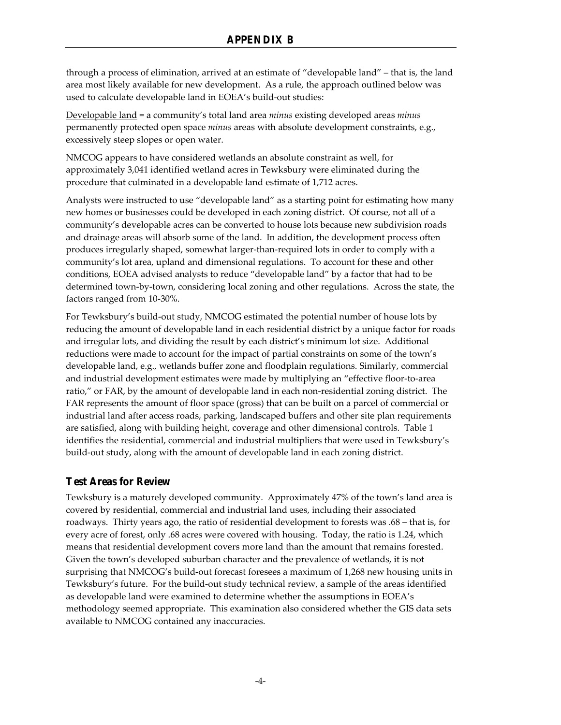through a process of elimination, arrived at an estimate of "developable land" – that is, the land area most likely available for new development. As a rule, the approach outlined below was used to calculate developable land in EOEA's build-out studies:

Developable land = a community's total land area *minus* existing developed areas *minus* permanently protected open space *minus* areas with absolute development constraints, e.g., excessively steep slopes or open water.

NMCOG appears to have considered wetlands an absolute constraint as well, for approximately 3,041 identified wetland acres in Tewksbury were eliminated during the procedure that culminated in a developable land estimate of 1,712 acres.

Analysts were instructed to use "developable land" as a starting point for estimating how many new homes or businesses could be developed in each zoning district. Of course, not all of a community's developable acres can be converted to house lots because new subdivision roads and drainage areas will absorb some of the land. In addition, the development process often produces irregularly shaped, somewhat larger-than-required lots in order to comply with a community's lot area, upland and dimensional regulations. To account for these and other conditions, EOEA advised analysts to reduce "developable land" by a factor that had to be determined town-by-town, considering local zoning and other regulations. Across the state, the factors ranged from 10-30%.

For Tewksbury's build-out study, NMCOG estimated the potential number of house lots by reducing the amount of developable land in each residential district by a unique factor for roads and irregular lots, and dividing the result by each district's minimum lot size. Additional reductions were made to account for the impact of partial constraints on some of the town's developable land, e.g., wetlands buffer zone and floodplain regulations. Similarly, commercial and industrial development estimates were made by multiplying an "effective floor-to-area ratio," or FAR, by the amount of developable land in each non-residential zoning district. The FAR represents the amount of floor space (gross) that can be built on a parcel of commercial or industrial land after access roads, parking, landscaped buffers and other site plan requirements are satisfied, along with building height, coverage and other dimensional controls. Table 1 identifies the residential, commercial and industrial multipliers that were used in Tewksbury's build-out study, along with the amount of developable land in each zoning district.

# **Test Areas for Review**

Tewksbury is a maturely developed community. Approximately 47% of the town's land area is covered by residential, commercial and industrial land uses, including their associated roadways. Thirty years ago, the ratio of residential development to forests was .68 – that is, for every acre of forest, only .68 acres were covered with housing. Today, the ratio is 1.24, which means that residential development covers more land than the amount that remains forested. Given the town's developed suburban character and the prevalence of wetlands, it is not surprising that NMCOG's build-out forecast foresees a maximum of 1,268 new housing units in Tewksbury's future. For the build-out study technical review, a sample of the areas identified as developable land were examined to determine whether the assumptions in EOEA's methodology seemed appropriate. This examination also considered whether the GIS data sets available to NMCOG contained any inaccuracies.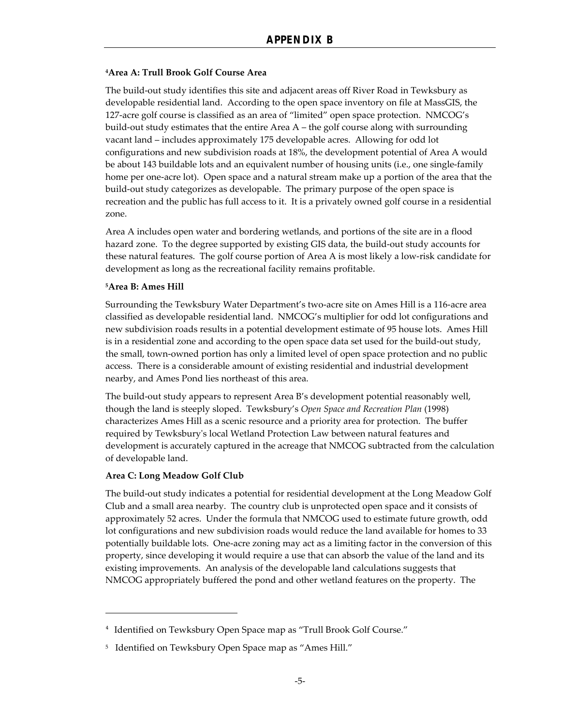#### **<sup>4</sup>Area A: Trull Brook Golf Course Area**

The build-out study identifies this site and adjacent areas off River Road in Tewksbury as developable residential land. According to the open space inventory on file at MassGIS, the 127-acre golf course is classified as an area of "limited" open space protection. NMCOG's build-out study estimates that the entire Area  $A$  – the golf course along with surrounding vacant land – includes approximately 175 developable acres. Allowing for odd lot configurations and new subdivision roads at 18%, the development potential of Area A would be about 143 buildable lots and an equivalent number of housing units (i.e., one single-family home per one-acre lot). Open space and a natural stream make up a portion of the area that the build-out study categorizes as developable. The primary purpose of the open space is recreation and the public has full access to it. It is a privately owned golf course in a residential zone.

Area A includes open water and bordering wetlands, and portions of the site are in a flood hazard zone. To the degree supported by existing GIS data, the build-out study accounts for these natural features. The golf course portion of Area A is most likely a low-risk candidate for development as long as the recreational facility remains profitable.

#### **<sup>5</sup>Area B: Ames Hill**

Surrounding the Tewksbury Water Department's two-acre site on Ames Hill is a 116-acre area classified as developable residential land. NMCOG's multiplier for odd lot configurations and new subdivision roads results in a potential development estimate of 95 house lots. Ames Hill is in a residential zone and according to the open space data set used for the build-out study, the small, town-owned portion has only a limited level of open space protection and no public access. There is a considerable amount of existing residential and industrial development nearby, and Ames Pond lies northeast of this area.

The build-out study appears to represent Area B's development potential reasonably well, though the land is steeply sloped. Tewksbury's *Open Space and Recreation Plan* (1998) characterizes Ames Hill as a scenic resource and a priority area for protection. The buffer required by Tewksbury's local Wetland Protection Law between natural features and development is accurately captured in the acreage that NMCOG subtracted from the calculation of developable land.

#### **Area C: Long Meadow Golf Club**

 $\overline{a}$ 

The build-out study indicates a potential for residential development at the Long Meadow Golf Club and a small area nearby. The country club is unprotected open space and it consists of approximately 52 acres. Under the formula that NMCOG used to estimate future growth, odd lot configurations and new subdivision roads would reduce the land available for homes to 33 potentially buildable lots. One-acre zoning may act as a limiting factor in the conversion of this property, since developing it would require a use that can absorb the value of the land and its existing improvements. An analysis of the developable land calculations suggests that NMCOG appropriately buffered the pond and other wetland features on the property. The

<sup>&</sup>lt;sup>4</sup> Identified on Tewksbury Open Space map as "Trull Brook Golf Course."

<sup>5</sup> Identified on Tewksbury Open Space map as "Ames Hill."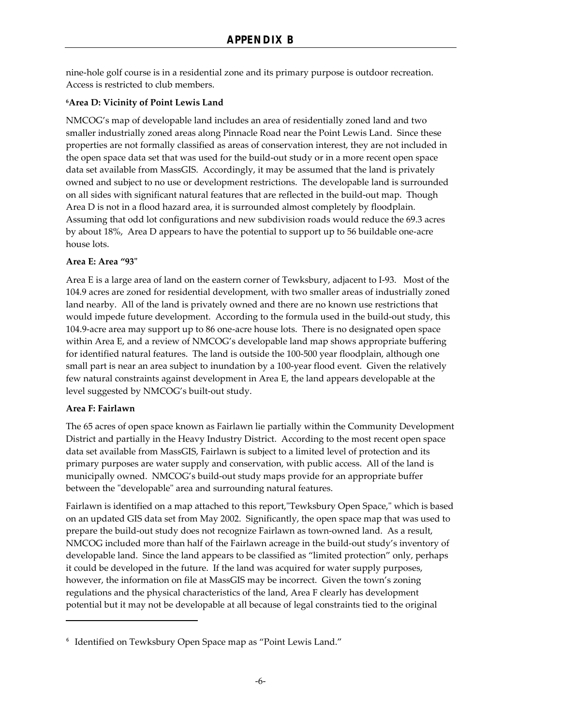nine-hole golf course is in a residential zone and its primary purpose is outdoor recreation. Access is restricted to club members.

### **<sup>6</sup>Area D: Vicinity of Point Lewis Land**

NMCOG's map of developable land includes an area of residentially zoned land and two smaller industrially zoned areas along Pinnacle Road near the Point Lewis Land. Since these properties are not formally classified as areas of conservation interest, they are not included in the open space data set that was used for the build-out study or in a more recent open space data set available from MassGIS. Accordingly, it may be assumed that the land is privately owned and subject to no use or development restrictions. The developable land is surrounded on all sides with significant natural features that are reflected in the build-out map. Though Area D is not in a flood hazard area, it is surrounded almost completely by floodplain. Assuming that odd lot configurations and new subdivision roads would reduce the 69.3 acres by about 18%, Area D appears to have the potential to support up to 56 buildable one-acre house lots.

### **Area E: Area "93"**

Area E is a large area of land on the eastern corner of Tewksbury, adjacent to I-93. Most of the 104.9 acres are zoned for residential development, with two smaller areas of industrially zoned land nearby. All of the land is privately owned and there are no known use restrictions that would impede future development. According to the formula used in the build-out study, this 104.9-acre area may support up to 86 one-acre house lots. There is no designated open space within Area E, and a review of NMCOG's developable land map shows appropriate buffering for identified natural features. The land is outside the 100-500 year floodplain, although one small part is near an area subject to inundation by a 100-year flood event. Given the relatively few natural constraints against development in Area E, the land appears developable at the level suggested by NMCOG's built-out study.

### **Area F: Fairlawn**

1

The 65 acres of open space known as Fairlawn lie partially within the Community Development District and partially in the Heavy Industry District. According to the most recent open space data set available from MassGIS, Fairlawn is subject to a limited level of protection and its primary purposes are water supply and conservation, with public access. All of the land is municipally owned. NMCOG's build-out study maps provide for an appropriate buffer between the "developable" area and surrounding natural features.

Fairlawn is identified on a map attached to this report,"Tewksbury Open Space," which is based on an updated GIS data set from May 2002. Significantly, the open space map that was used to prepare the build-out study does not recognize Fairlawn as town-owned land. As a result, NMCOG included more than half of the Fairlawn acreage in the build-out study's inventory of developable land. Since the land appears to be classified as "limited protection" only, perhaps it could be developed in the future. If the land was acquired for water supply purposes, however, the information on file at MassGIS may be incorrect. Given the town's zoning regulations and the physical characteristics of the land, Area F clearly has development potential but it may not be developable at all because of legal constraints tied to the original

<sup>6</sup> Identified on Tewksbury Open Space map as "Point Lewis Land."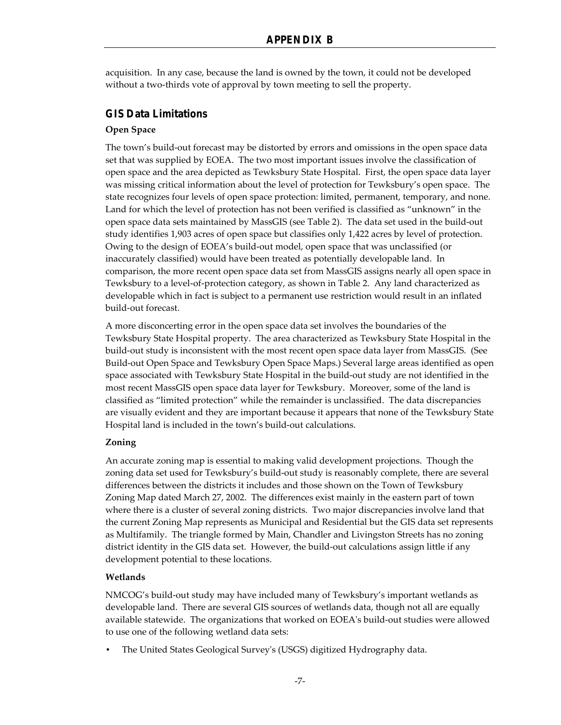acquisition. In any case, because the land is owned by the town, it could not be developed without a two-thirds vote of approval by town meeting to sell the property.

# **GIS Data Limitations**

### **Open Space**

The town's build-out forecast may be distorted by errors and omissions in the open space data set that was supplied by EOEA. The two most important issues involve the classification of open space and the area depicted as Tewksbury State Hospital. First, the open space data layer was missing critical information about the level of protection for Tewksbury's open space. The state recognizes four levels of open space protection: limited, permanent, temporary, and none. Land for which the level of protection has not been verified is classified as "unknown" in the open space data sets maintained by MassGIS (see Table 2). The data set used in the build-out study identifies 1,903 acres of open space but classifies only 1,422 acres by level of protection. Owing to the design of EOEA's build-out model, open space that was unclassified (or inaccurately classified) would have been treated as potentially developable land. In comparison, the more recent open space data set from MassGIS assigns nearly all open space in Tewksbury to a level-of-protection category, as shown in Table 2. Any land characterized as developable which in fact is subject to a permanent use restriction would result in an inflated build-out forecast.

A more disconcerting error in the open space data set involves the boundaries of the Tewksbury State Hospital property. The area characterized as Tewksbury State Hospital in the build-out study is inconsistent with the most recent open space data layer from MassGIS. (See Build-out Open Space and Tewksbury Open Space Maps.) Several large areas identified as open space associated with Tewksbury State Hospital in the build-out study are not identified in the most recent MassGIS open space data layer for Tewksbury. Moreover, some of the land is classified as "limited protection" while the remainder is unclassified. The data discrepancies are visually evident and they are important because it appears that none of the Tewksbury State Hospital land is included in the town's build-out calculations.

# **Zoning**

An accurate zoning map is essential to making valid development projections. Though the zoning data set used for Tewksbury's build-out study is reasonably complete, there are several differences between the districts it includes and those shown on the Town of Tewksbury Zoning Map dated March 27, 2002. The differences exist mainly in the eastern part of town where there is a cluster of several zoning districts. Two major discrepancies involve land that the current Zoning Map represents as Municipal and Residential but the GIS data set represents as Multifamily. The triangle formed by Main, Chandler and Livingston Streets has no zoning district identity in the GIS data set. However, the build-out calculations assign little if any development potential to these locations.

# **Wetlands**

NMCOG's build-out study may have included many of Tewksbury's important wetlands as developable land. There are several GIS sources of wetlands data, though not all are equally available statewide. The organizations that worked on EOEA's build-out studies were allowed to use one of the following wetland data sets:

• The United States Geological Survey's (USGS) digitized Hydrography data.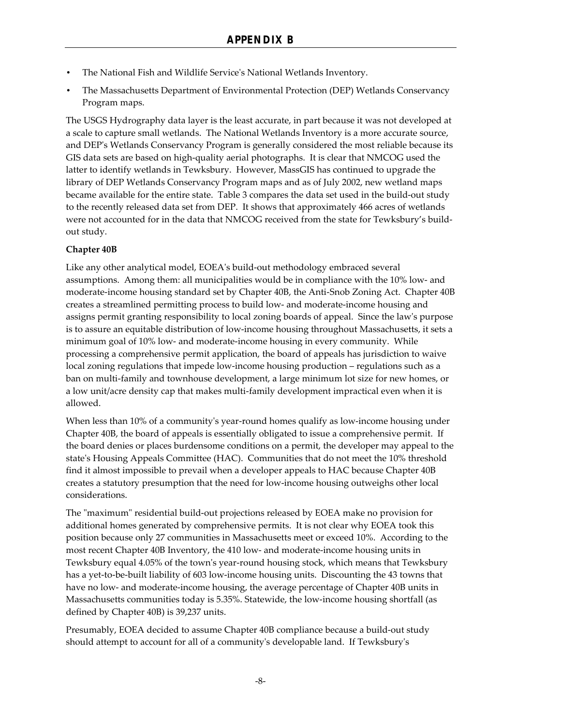- The National Fish and Wildlife Service's National Wetlands Inventory.
- The Massachusetts Department of Environmental Protection (DEP) Wetlands Conservancy Program maps.

The USGS Hydrography data layer is the least accurate, in part because it was not developed at a scale to capture small wetlands. The National Wetlands Inventory is a more accurate source, and DEP's Wetlands Conservancy Program is generally considered the most reliable because its GIS data sets are based on high-quality aerial photographs. It is clear that NMCOG used the latter to identify wetlands in Tewksbury. However, MassGIS has continued to upgrade the library of DEP Wetlands Conservancy Program maps and as of July 2002, new wetland maps became available for the entire state. Table 3 compares the data set used in the build-out study to the recently released data set from DEP. It shows that approximately 466 acres of wetlands were not accounted for in the data that NMCOG received from the state for Tewksbury's buildout study.

# **Chapter 40B**

Like any other analytical model, EOEA's build-out methodology embraced several assumptions. Among them: all municipalities would be in compliance with the 10% low- and moderate-income housing standard set by Chapter 40B, the Anti-Snob Zoning Act. Chapter 40B creates a streamlined permitting process to build low- and moderate-income housing and assigns permit granting responsibility to local zoning boards of appeal. Since the law's purpose is to assure an equitable distribution of low-income housing throughout Massachusetts, it sets a minimum goal of 10% low- and moderate-income housing in every community. While processing a comprehensive permit application, the board of appeals has jurisdiction to waive local zoning regulations that impede low-income housing production – regulations such as a ban on multi-family and townhouse development, a large minimum lot size for new homes, or a low unit/acre density cap that makes multi-family development impractical even when it is allowed.

When less than 10% of a community's year-round homes qualify as low-income housing under Chapter 40B, the board of appeals is essentially obligated to issue a comprehensive permit. If the board denies or places burdensome conditions on a permit, the developer may appeal to the state's Housing Appeals Committee (HAC). Communities that do not meet the 10% threshold find it almost impossible to prevail when a developer appeals to HAC because Chapter 40B creates a statutory presumption that the need for low-income housing outweighs other local considerations.

The "maximum" residential build-out projections released by EOEA make no provision for additional homes generated by comprehensive permits. It is not clear why EOEA took this position because only 27 communities in Massachusetts meet or exceed 10%. According to the most recent Chapter 40B Inventory, the 410 low- and moderate-income housing units in Tewksbury equal 4.05% of the town's year-round housing stock, which means that Tewksbury has a yet-to-be-built liability of 603 low-income housing units. Discounting the 43 towns that have no low- and moderate-income housing, the average percentage of Chapter 40B units in Massachusetts communities today is 5.35%. Statewide, the low-income housing shortfall (as defined by Chapter 40B) is 39,237 units.

Presumably, EOEA decided to assume Chapter 40B compliance because a build-out study should attempt to account for all of a community's developable land. If Tewksbury's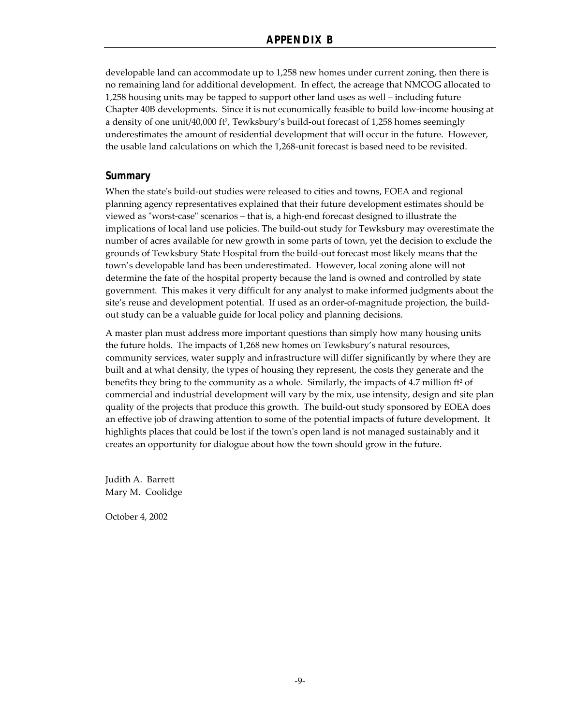developable land can accommodate up to 1,258 new homes under current zoning, then there is no remaining land for additional development. In effect, the acreage that NMCOG allocated to 1,258 housing units may be tapped to support other land uses as well – including future Chapter 40B developments. Since it is not economically feasible to build low-income housing at a density of one unit/40,000 ft<sup>2</sup>, Tewksbury's build-out forecast of 1,258 homes seemingly underestimates the amount of residential development that will occur in the future. However, the usable land calculations on which the 1,268-unit forecast is based need to be revisited.

### **Summary**

When the state's build-out studies were released to cities and towns, EOEA and regional planning agency representatives explained that their future development estimates should be viewed as "worst-case" scenarios – that is, a high-end forecast designed to illustrate the implications of local land use policies. The build-out study for Tewksbury may overestimate the number of acres available for new growth in some parts of town, yet the decision to exclude the grounds of Tewksbury State Hospital from the build-out forecast most likely means that the town's developable land has been underestimated. However, local zoning alone will not determine the fate of the hospital property because the land is owned and controlled by state government. This makes it very difficult for any analyst to make informed judgments about the site's reuse and development potential. If used as an order-of-magnitude projection, the buildout study can be a valuable guide for local policy and planning decisions.

A master plan must address more important questions than simply how many housing units the future holds. The impacts of 1,268 new homes on Tewksbury's natural resources, community services, water supply and infrastructure will differ significantly by where they are built and at what density, the types of housing they represent, the costs they generate and the benefits they bring to the community as a whole. Similarly, the impacts of  $4.7$  million ft<sup>2</sup> of commercial and industrial development will vary by the mix, use intensity, design and site plan quality of the projects that produce this growth. The build-out study sponsored by EOEA does an effective job of drawing attention to some of the potential impacts of future development. It highlights places that could be lost if the town's open land is not managed sustainably and it creates an opportunity for dialogue about how the town should grow in the future.

Judith A. Barrett Mary M. Coolidge

October 4, 2002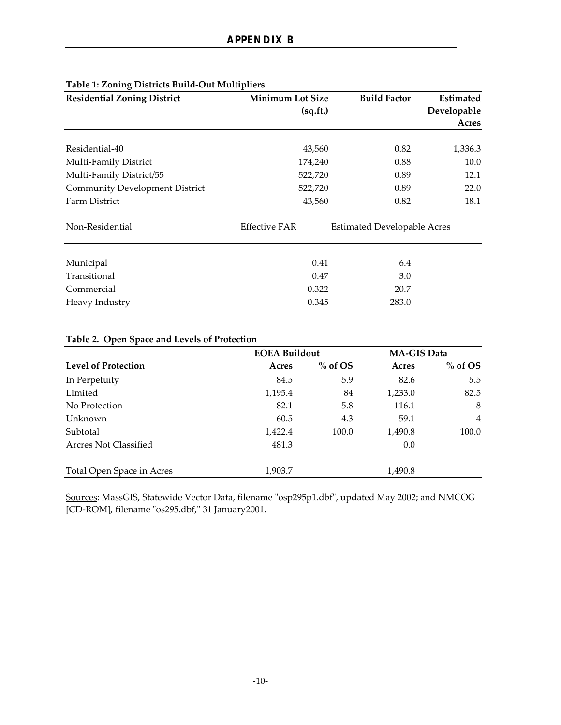| <b>Residential Zoning District</b>    | <b>Minimum Lot Size</b> | <b>Build Factor</b>                | Estimated<br>Developable |
|---------------------------------------|-------------------------|------------------------------------|--------------------------|
|                                       | (sq.fit.)               |                                    |                          |
|                                       |                         |                                    | Acres                    |
| Residential-40                        | 43,560                  | 0.82                               | 1,336.3                  |
| Multi-Family District                 | 174,240                 | 0.88                               | 10.0                     |
| Multi-Family District/55              | 522,720                 | 0.89                               | 12.1                     |
| <b>Community Development District</b> | 522,720                 | 0.89                               | 22.0                     |
| Farm District                         | 43,560                  | 0.82                               | 18.1                     |
| Non-Residential                       | <b>Effective FAR</b>    | <b>Estimated Developable Acres</b> |                          |
| Municipal                             | 0.41                    | 6.4                                |                          |
| Transitional                          | 0.47                    | 3.0                                |                          |
| Commercial                            | 0.322                   | 20.7                               |                          |
|                                       |                         |                                    |                          |
| Heavy Industry                        | 0.345                   | 283.0                              |                          |

# **Table 1: Zoning Districts Build-Out Multipliers**

| Table 2. Open Space and Levels of Protection |                      |           |                    |                |  |  |
|----------------------------------------------|----------------------|-----------|--------------------|----------------|--|--|
|                                              | <b>EOEA Buildout</b> |           | <b>MA-GIS Data</b> |                |  |  |
| <b>Level of Protection</b>                   | Acres                | $%$ of OS | Acres              | $%$ of OS      |  |  |
| In Perpetuity                                | 84.5                 | 5.9       | 82.6               | 5.5            |  |  |
| Limited                                      | 1,195.4              | 84        | 1,233.0            | 82.5           |  |  |
| No Protection                                | 82.1                 | 5.8       | 116.1              | 8              |  |  |
| Unknown                                      | 60.5                 | 4.3       | 59.1               | $\overline{4}$ |  |  |
| Subtotal                                     | 1,422.4              | 100.0     | 1,490.8            | 100.0          |  |  |
| <b>Arcres Not Classified</b>                 | 481.3                |           | 0.0                |                |  |  |
| Total Open Space in Acres                    | 1,903.7              |           | 1,490.8            |                |  |  |

# **Table 2. Open Space and Levels of Protection**

Sources: MassGIS, Statewide Vector Data, filename "osp295p1.dbf", updated May 2002; and NMCOG [CD-ROM], filename "os295.dbf," 31 January2001.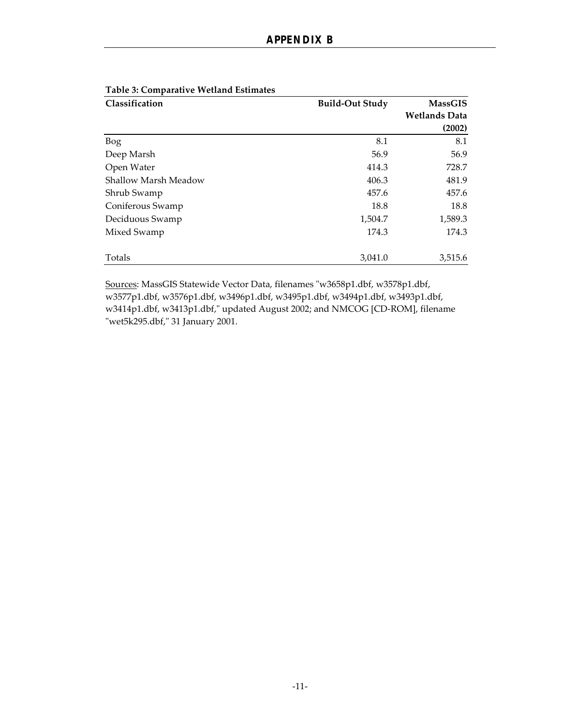| Classification              | <b>Build-Out Study</b> | <b>MassGIS</b>       |
|-----------------------------|------------------------|----------------------|
|                             |                        | <b>Wetlands Data</b> |
|                             |                        | (2002)               |
| Bog                         | 8.1                    | 8.1                  |
| Deep Marsh                  | 56.9                   | 56.9                 |
| Open Water                  | 414.3                  | 728.7                |
| <b>Shallow Marsh Meadow</b> | 406.3                  | 481.9                |
| Shrub Swamp                 | 457.6                  | 457.6                |
| Coniferous Swamp            | 18.8                   | 18.8                 |
| Deciduous Swamp             | 1,504.7                | 1,589.3              |
| Mixed Swamp                 | 174.3                  | 174.3                |
|                             |                        |                      |
| Totals                      | 3,041.0                | 3,515.6              |

### **Table 3: Comparative Wetland Estimates**

Sources: MassGIS Statewide Vector Data, filenames "w3658p1.dbf, w3578p1.dbf, w3577p1.dbf, w3576p1.dbf, w3496p1.dbf, w3495p1.dbf, w3494p1.dbf, w3493p1.dbf, w3414p1.dbf, w3413p1.dbf," updated August 2002; and NMCOG [CD-ROM], filename "wet5k295.dbf," 31 January 2001.